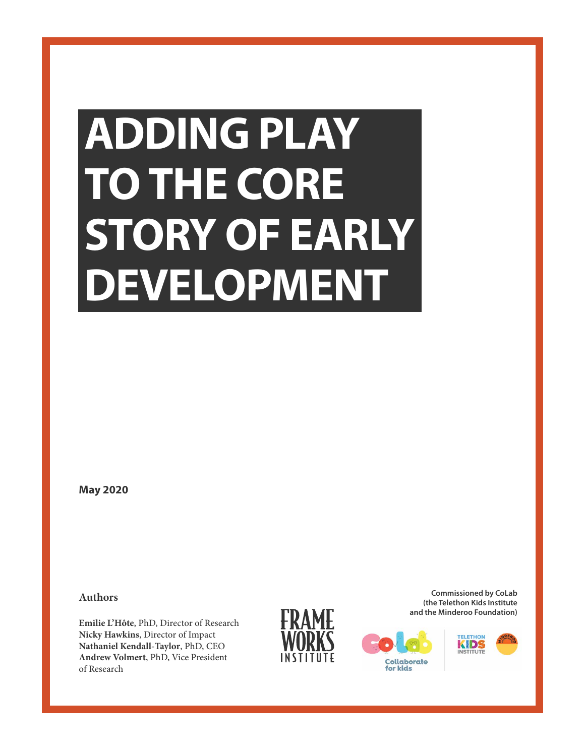# **ADDING PLAY TO THE CORE STORY OF EARLY DEVELOPMENT**

**May 2020**

**Authors**

**Emilie L'Hôte**, PhD, Director of Research **Nicky Hawkins**, Director of Impact **Nathaniel Kendall-Taylor**, PhD, CEO **Andrew Volmert**, PhD, Vice President of Research



**Commissioned by CoLab (the Telethon Kids Institute and the Minderoo Foundation)**



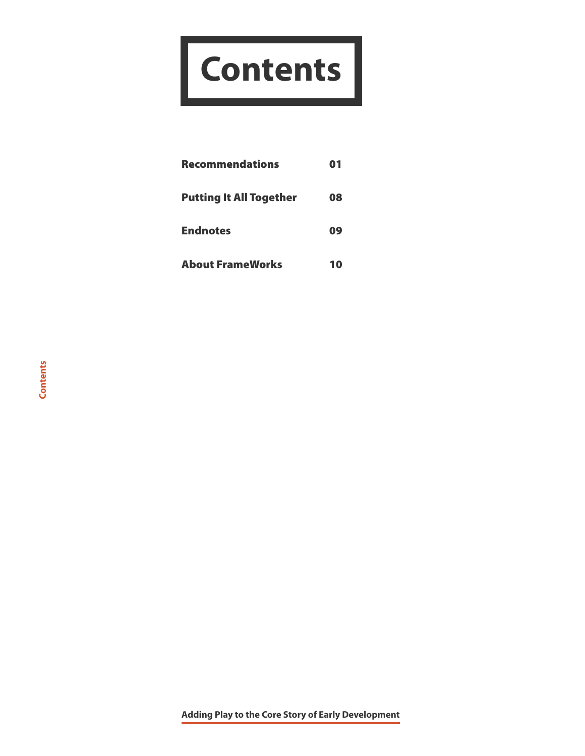# **Contents**

| <b>Recommendations</b>         | 01 |
|--------------------------------|----|
| <b>Putting It All Together</b> | 08 |
| <b>Endnotes</b>                | 09 |
| <b>About FrameWorks</b>        | 10 |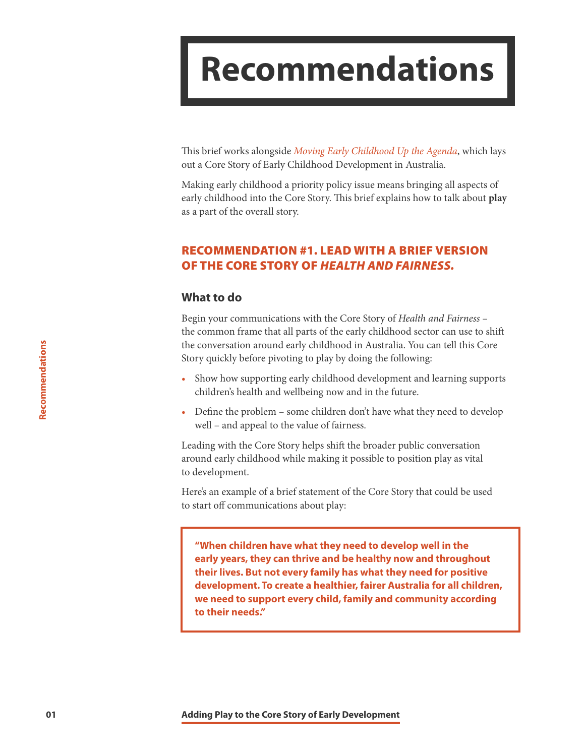### <span id="page-2-0"></span>**Recommendations**

This brief works alongside *[Moving Early Childhood Up the Agenda](http://frameworksinstitute.org/assets/files/Australia/colab_strategicbrief_2020.pdf)*, which lays out a Core Story of Early Childhood Development in Australia.

Making early childhood a priority policy issue means bringing all aspects of early childhood into the Core Story. This brief explains how to talk about **play** as a part of the overall story.

#### RECOMMENDATION #1. LEAD WITH A BRIEF VERSION OF THE CORE STORY OF *HEALTH AND FAIRNESS.*

#### **What to do**

Begin your communications with the Core Story of *Health and Fairness* – the common frame that all parts of the early childhood sector can use to shift the conversation around early childhood in Australia. You can tell this Core Story quickly before pivoting to play by doing the following:

- Show how supporting early childhood development and learning supports children's health and wellbeing now and in the future.
- Define the problem some children don't have what they need to develop well – and appeal to the value of fairness.

Leading with the Core Story helps shift the broader public conversation around early childhood while making it possible to position play as vital to development.

Here's an example of a brief statement of the Core Story that could be used to start off communications about play:

**"When children have what they need to develop well in the early years, they can thrive and be healthy now and throughout their lives. But not every family has what they need for positive development. To create a healthier, fairer Australia for all children, we need to support every child, family and community according to their needs."**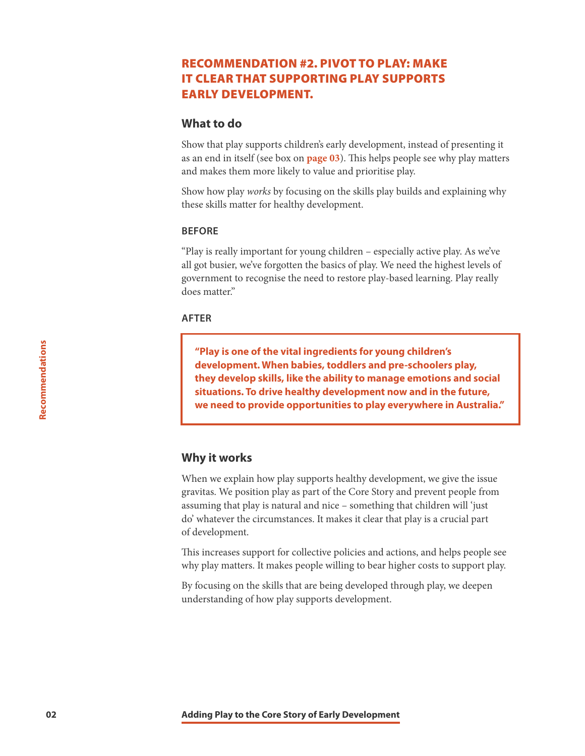#### RECOMMENDATION #2. PIVOT TO PLAY: MAKE IT CLEAR THAT SUPPORTING PLAY SUPPORTS EARLY DEVELOPMENT.

#### **What to do**

Show that play supports children's early development, instead of presenting it as an end in itself (see box on **[page 03](#page-4-0)**). This helps people see why play matters and makes them more likely to value and prioritise play.

Show how play *works* by focusing on the skills play builds and explaining why these skills matter for healthy development.

#### **BEFORE**

"Play is really important for young children – especially active play. As we've all got busier, we've forgotten the basics of play. We need the highest levels of government to recognise the need to restore play-based learning. Play really does matter."

#### **AFTER**

**"Play is one of the vital ingredients for young children's development. When babies, toddlers and pre-schoolers play, they develop skills, like the ability to manage emotions and social situations. To drive healthy development now and in the future, we need to provide opportunities to play everywhere in Australia."**

#### **Why it works**

When we explain how play supports healthy development, we give the issue gravitas. We position play as part of the Core Story and prevent people from assuming that play is natural and nice – something that children will 'just do' whatever the circumstances. It makes it clear that play is a crucial part of development.

This increases support for collective policies and actions, and helps people see why play matters. It makes people willing to bear higher costs to support play.

By focusing on the skills that are being developed through play, we deepen understanding of how play supports development.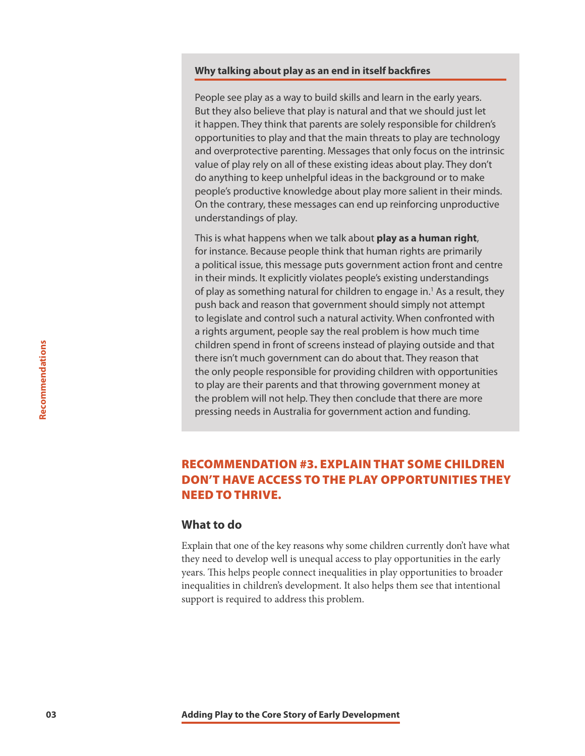#### <span id="page-4-0"></span>**Why talking about play as an end in itself backfires**

People see play as a way to build skills and learn in the early years. But they also believe that play is natural and that we should just let it happen. They think that parents are solely responsible for children's opportunities to play and that the main threats to play are technology and overprotective parenting. Messages that only focus on the intrinsic value of play rely on all of these existing ideas about play. They don't do anything to keep unhelpful ideas in the background or to make people's productive knowledge about play more salient in their minds. On the contrary, these messages can end up reinforcing unproductive understandings of play.

This is what happens when we talk about **play as a human right**, for instance. Because people think that human rights are primarily a political issue, this message puts government action front and centre in their minds. It explicitly violates people's existing understandings of play as something natural for children to engage in.<sup>1</sup> As a result, they push back and reason that government should simply not attempt to legislate and control such a natural activity. When confronted with a rights argument, people say the real problem is how much time children spend in front of screens instead of playing outside and that there isn't much government can do about that. They reason that the only people responsible for providing children with opportunities to play are their parents and that throwing government money at the problem will not help. They then conclude that there are more pressing needs in Australia for government action and funding.

#### RECOMMENDATION #3. EXPLAIN THAT SOME CHILDREN DON'T HAVE ACCESS TO THE PLAY OPPORTUNITIES THEY NEED TO THRIVE.

#### **What to do**

Explain that one of the key reasons why some children currently don't have what they need to develop well is unequal access to play opportunities in the early years. This helps people connect inequalities in play opportunities to broader inequalities in children's development. It also helps them see that intentional support is required to address this problem.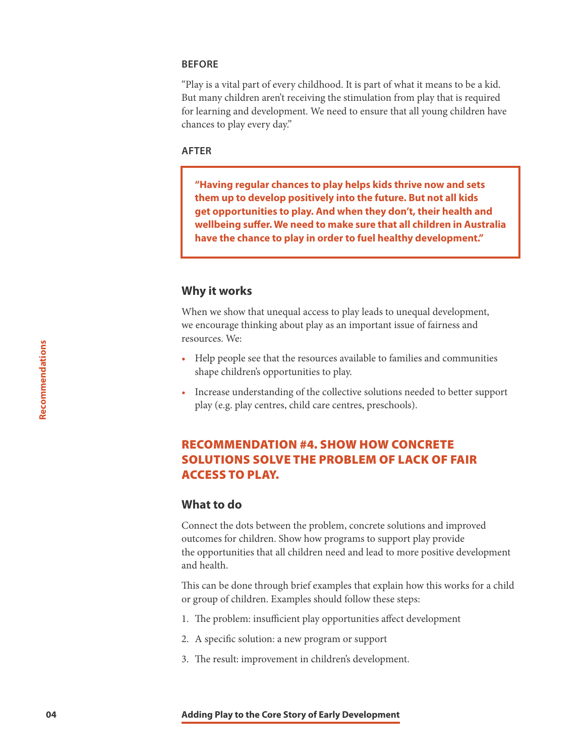#### **BEFORE**

"Play is a vital part of every childhood. It is part of what it means to be a kid. But many children aren't receiving the stimulation from play that is required for learning and development. We need to ensure that all young children have chances to play every day."

#### **AFTER**

**"Having regular chances to play helps kids thrive now and sets them up to develop positively into the future. But not all kids get opportunities to play. And when they don't, their health and wellbeing suffer. We need to make sure that all children in Australia have the chance to play in order to fuel healthy development."**

#### **Why it works**

When we show that unequal access to play leads to unequal development, we encourage thinking about play as an important issue of fairness and resources. We:

- Help people see that the resources available to families and communities shape children's opportunities to play.
- Increase understanding of the collective solutions needed to better support play (e.g. play centres, child care centres, preschools).

#### RECOMMENDATION #4. SHOW HOW CONCRETE SOLUTIONS SOLVE THE PROBLEM OF LACK OF FAIR ACCESS TO PLAY.

#### **What to do**

Connect the dots between the problem, concrete solutions and improved outcomes for children. Show how programs to support play provide the opportunities that all children need and lead to more positive development and health.

This can be done through brief examples that explain how this works for a child or group of children. Examples should follow these steps:

- 1. The problem: insufficient play opportunities affect development
- 2. A specific solution: a new program or support
- 3. The result: improvement in children's development.

**Recommendations**

Recommendations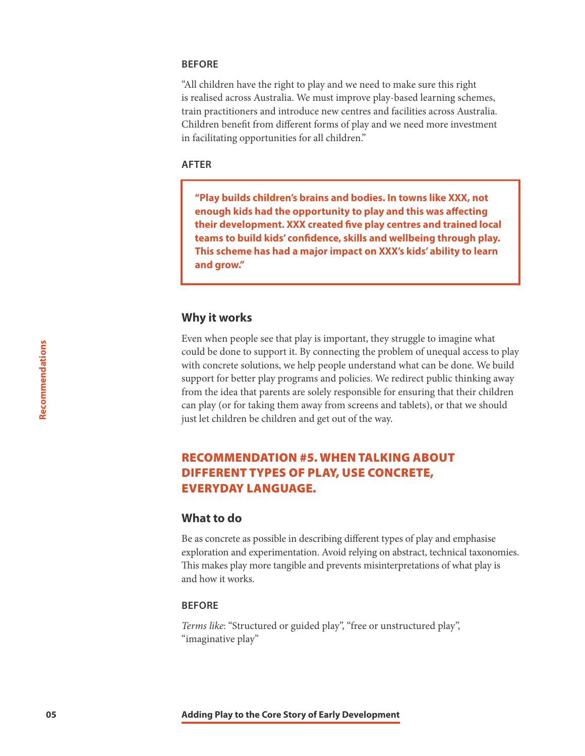#### **BEFORE**

"All children have the right to play and we need to make sure this right is realised across Australia. We must improve play-based learning schemes, train practitioners and introduce new centres and facilities across Australia. Children benefit from different forms of play and we need more investment in facilitating opportunities for all children."

#### **AFTER**

**"Play builds children's brains and bodies. In towns like XXX, not enough kids had the opportunity to play and this was affecting their development. XXX created five play centres and trained local teams to build kids' confidence, skills and wellbeing through play. This scheme has had a major impact on XXX's kids' ability to learn and grow."** 

#### **Why it works**

Even when people see that play is important, they struggle to imagine what could be done to support it. By connecting the problem of unequal access to play with concrete solutions, we help people understand what can be done. We build support for better play programs and policies. We redirect public thinking away from the idea that parents are solely responsible for ensuring that their children can play (or for taking them away from screens and tablets), or that we should just let children be children and get out of the way.

#### RECOMMENDATION #5. WHEN TALKING ABOUT DIFFERENT TYPES OF PLAY, USE CONCRETE, EVERYDAY LANGUAGE.

#### **What to do**

Be as concrete as possible in describing different types of play and emphasise exploration and experimentation. Avoid relying on abstract, technical taxonomies. This makes play more tangible and prevents misinterpretations of what play is and how it works.

#### **BEFORE**

*Terms like*: "Structured or guided play", "free or unstructured play", "imaginative play"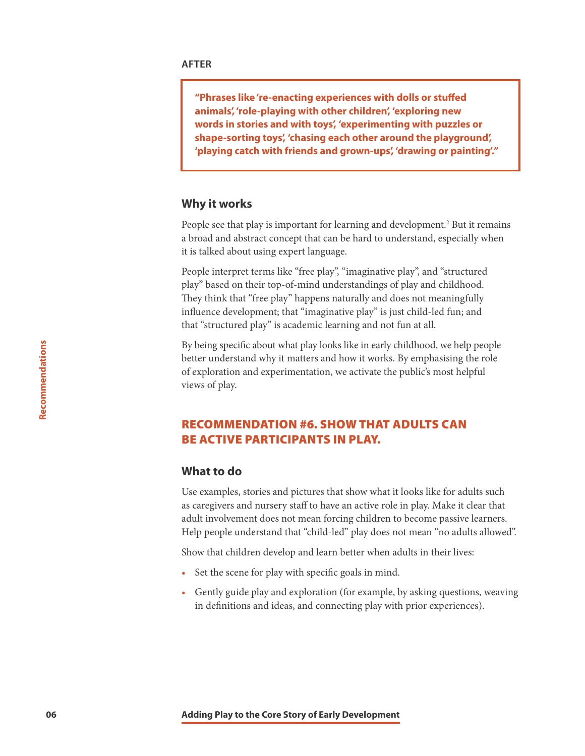**"Phrases like 're-enacting experiences with dolls or stuffed animals', 'role-playing with other children', 'exploring new words in stories and with toys', 'experimenting with puzzles or shape-sorting toys', 'chasing each other around the playground', 'playing catch with friends and grown-ups', 'drawing or painting'."**

#### **Why it works**

People see that play is important for learning and development.<sup>2</sup> But it remains a broad and abstract concept that can be hard to understand, especially when it is talked about using expert language.

People interpret terms like "free play", "imaginative play", and "structured play" based on their top-of-mind understandings of play and childhood. They think that "free play" happens naturally and does not meaningfully influence development; that "imaginative play" is just child-led fun; and that "structured play" is academic learning and not fun at all.

By being specific about what play looks like in early childhood, we help people better understand why it matters and how it works. By emphasising the role of exploration and experimentation, we activate the public's most helpful views of play.

#### RECOMMENDATION #6. SHOW THAT ADULTS CAN BE ACTIVE PARTICIPANTS IN PLAY.

#### **What to do**

Use examples, stories and pictures that show what it looks like for adults such as caregivers and nursery staff to have an active role in play. Make it clear that adult involvement does not mean forcing children to become passive learners. Help people understand that "child-led" play does not mean "no adults allowed".

Show that children develop and learn better when adults in their lives:

- Set the scene for play with specific goals in mind.
- Gently guide play and exploration (for example, by asking questions, weaving in definitions and ideas, and connecting play with prior experiences).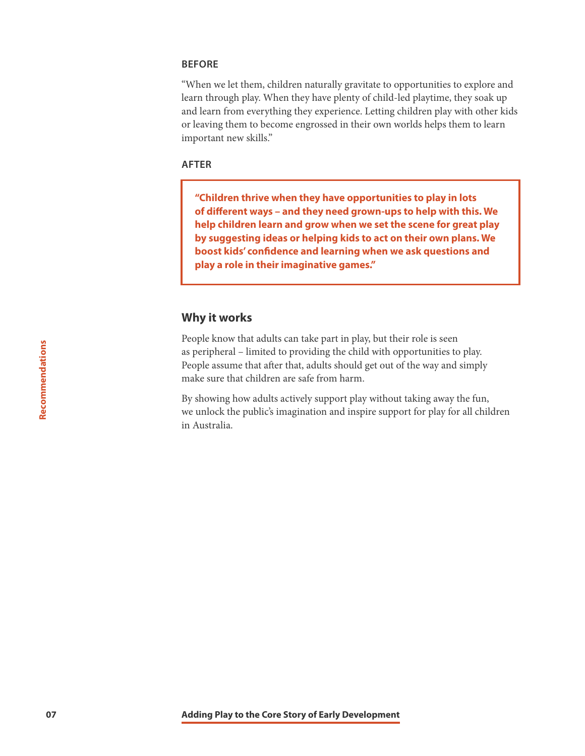#### **BEFORE**

"When we let them, children naturally gravitate to opportunities to explore and learn through play. When they have plenty of child-led playtime, they soak up and learn from everything they experience. Letting children play with other kids or leaving them to become engrossed in their own worlds helps them to learn important new skills."

#### **AFTER**

**"Children thrive when they have opportunities to play in lots of different ways – and they need grown-ups to help with this. We help children learn and grow when we set the scene for great play by suggesting ideas or helping kids to act on their own plans. We boost kids' confidence and learning when we ask questions and play a role in their imaginative games."**

#### **Why it works**

People know that adults can take part in play, but their role is seen as peripheral – limited to providing the child with opportunities to play. People assume that after that, adults should get out of the way and simply make sure that children are safe from harm.

By showing how adults actively support play without taking away the fun, we unlock the public's imagination and inspire support for play for all children in Australia.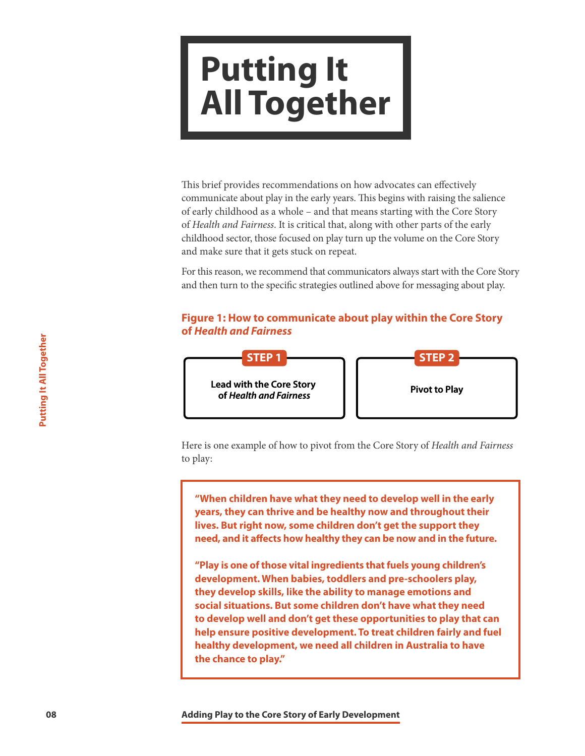### **Putting It All Together**

This brief provides recommendations on how advocates can effectively communicate about play in the early years. This begins with raising the salience of early childhood as a whole – and that means starting with the Core Story of *Health and Fairness*. It is critical that, along with other parts of the early childhood sector, those focused on play turn up the volume on the Core Story and make sure that it gets stuck on repeat.

For this reason, we recommend that communicators always start with the Core Story and then turn to the specific strategies outlined above for messaging about play.

#### **Figure 1: How to communicate about play within the Core Story of** *Health and Fairness*



Here is one example of how to pivot from the Core Story of *Health and Fairness* to play:

**"When children have what they need to develop well in the early years, they can thrive and be healthy now and throughout their lives. But right now, some children don't get the support they need, and it affects how healthy they can be now and in the future.** 

**1884**<br> **1884**<br> **1884**<br> **1884**<br> **1884**<br> **1886**<br> **1886**<br> **1886**<br> **1887**<br> **1886**<br> **1887**<br> **1888**<br> **1888**<br> **1888**<br> **1888**<br> **1888**<br> **1888**<br> **1888**<br> **1888**<br> **1888**<br> **1888**<br> **1888**<br> **1888**<br> **1889**<br> **1898**<br> **1898**<br> **1898**<br> **1898 "Play is one of those vital ingredients that fuels young children's development. When babies, toddlers and pre-schoolers play, they develop skills, like the ability to manage emotions and social situations. But some children don't have what they need to develop well and don't get these opportunities to play that can help ensure positive development. To treat children fairly and fuel healthy development, we need all children in Australia to have the chance to play."**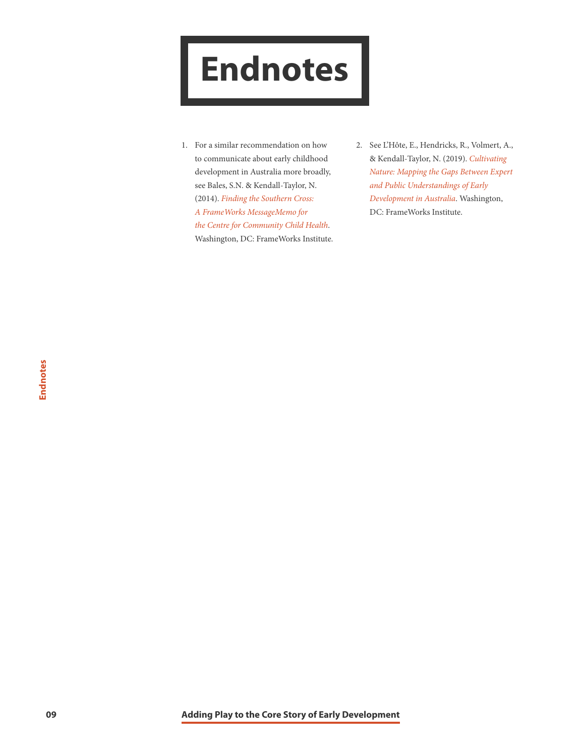## <span id="page-10-0"></span>**Endnotes**

- 1. For a similar recommendation on how to communicate about early childhood development in Australia more broadly, see Bales, S.N. & Kendall-Taylor, N. (2014). *[Finding the Southern Cross:](http://frameworksinstitute.org/pubs/mm/southerncross/toc.html)  [A FrameWorks MessageMemo for](http://frameworksinstitute.org/pubs/mm/southerncross/toc.html)  [the Centre for Community Child Health](http://frameworksinstitute.org/pubs/mm/southerncross/toc.html)*. Washington, DC: FrameWorks Institute.
- 2. See L'Hôte, E., Hendricks, R., Volmert, A., & Kendall-Taylor, N. (2019). *[Cultivating](https://www.frameworksinstitute.org/assets/files/Australia/colab_mtgreport_2019.pdf)  [Nature: Mapping the Gaps Between Expert](https://www.frameworksinstitute.org/assets/files/Australia/colab_mtgreport_2019.pdf)  [and Public Understandings of Early](https://www.frameworksinstitute.org/assets/files/Australia/colab_mtgreport_2019.pdf)  [Development in Australia](https://www.frameworksinstitute.org/assets/files/Australia/colab_mtgreport_2019.pdf)*. Washington, DC: FrameWorks Institute.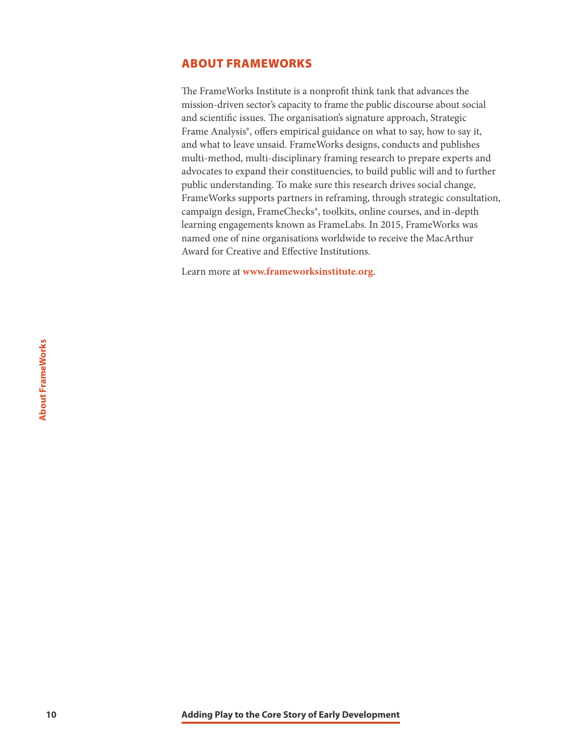#### <span id="page-11-0"></span>ABOUT FRAMEWORKS

The FrameWorks Institute is a nonprofit think tank that advances the mission-driven sector's capacity to frame the public discourse about social and scientific issues. The organisation's signature approach, Strategic Frame Analysis®, offers empirical guidance on what to say, how to say it, and what to leave unsaid. FrameWorks designs, conducts and publishes multi-method, multi-disciplinary framing research to prepare experts and advocates to expand their constituencies, to build public will and to further public understanding. To make sure this research drives social change, FrameWorks supports partners in reframing, through strategic consultation, campaign design, FrameChecks®, toolkits, online courses, and in-depth learning engagements known as FrameLabs. In 2015, FrameWorks was named one of nine organisations worldwide to receive the MacArthur Award for Creative and Effective Institutions.

Learn more at **<www.frameworksinstitute.org>**.